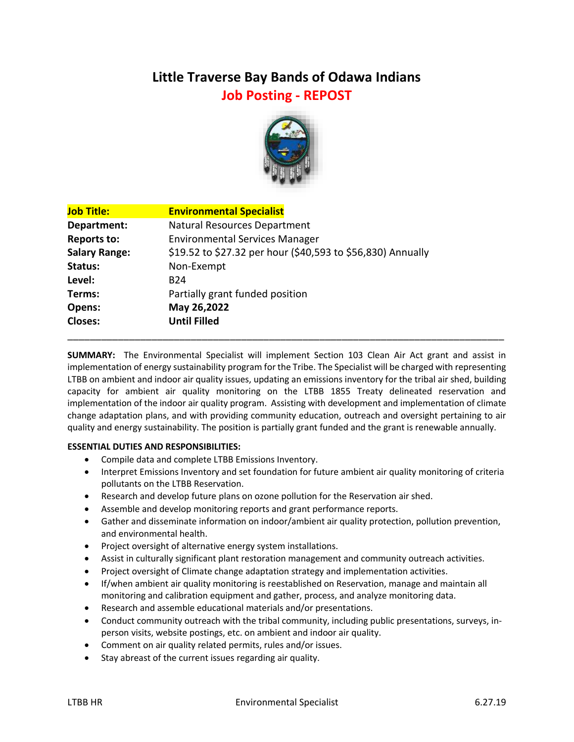# **Little Traverse Bay Bands of Odawa Indians Job Posting - REPOST**



| <b>Job Title:</b>    | <b>Environmental Specialist</b>                             |
|----------------------|-------------------------------------------------------------|
| Department:          | Natural Resources Department                                |
| <b>Reports to:</b>   | <b>Environmental Services Manager</b>                       |
| <b>Salary Range:</b> | \$19.52 to \$27.32 per hour (\$40,593 to \$56,830) Annually |
| Status:              | Non-Exempt                                                  |
| Level:               | B <sub>24</sub>                                             |
| Terms:               | Partially grant funded position                             |
| Opens:               | May 26,2022                                                 |
| <b>Closes:</b>       | <b>Until Filled</b>                                         |

**SUMMARY:** The Environmental Specialist will implement Section 103 Clean Air Act grant and assist in implementation of energy sustainability program for the Tribe. The Specialist will be charged with representing LTBB on ambient and indoor air quality issues, updating an emissions inventory for the tribal air shed, building capacity for ambient air quality monitoring on the LTBB 1855 Treaty delineated reservation and implementation of the indoor air quality program. Assisting with development and implementation of climate change adaptation plans, and with providing community education, outreach and oversight pertaining to air quality and energy sustainability. The position is partially grant funded and the grant is renewable annually.

\_\_\_\_\_\_\_\_\_\_\_\_\_\_\_\_\_\_\_\_\_\_\_\_\_\_\_\_\_\_\_\_\_\_\_\_\_\_\_\_\_\_\_\_\_\_\_\_\_\_\_\_\_\_\_\_\_\_\_\_\_\_\_\_\_\_\_\_\_\_\_\_\_\_\_\_\_\_

# **ESSENTIAL DUTIES AND RESPONSIBILITIES:**

- Compile data and complete LTBB Emissions Inventory.
- Interpret Emissions Inventory and set foundation for future ambient air quality monitoring of criteria pollutants on the LTBB Reservation.
- Research and develop future plans on ozone pollution for the Reservation air shed.
- Assemble and develop monitoring reports and grant performance reports.
- Gather and disseminate information on indoor/ambient air quality protection, pollution prevention, and environmental health.
- Project oversight of alternative energy system installations.
- Assist in culturally significant plant restoration management and community outreach activities.
- Project oversight of Climate change adaptation strategy and implementation activities.
- If/when ambient air quality monitoring is reestablished on Reservation, manage and maintain all monitoring and calibration equipment and gather, process, and analyze monitoring data.
- Research and assemble educational materials and/or presentations.
- Conduct community outreach with the tribal community, including public presentations, surveys, inperson visits, website postings, etc. on ambient and indoor air quality.
- Comment on air quality related permits, rules and/or issues.
- Stay abreast of the current issues regarding air quality.